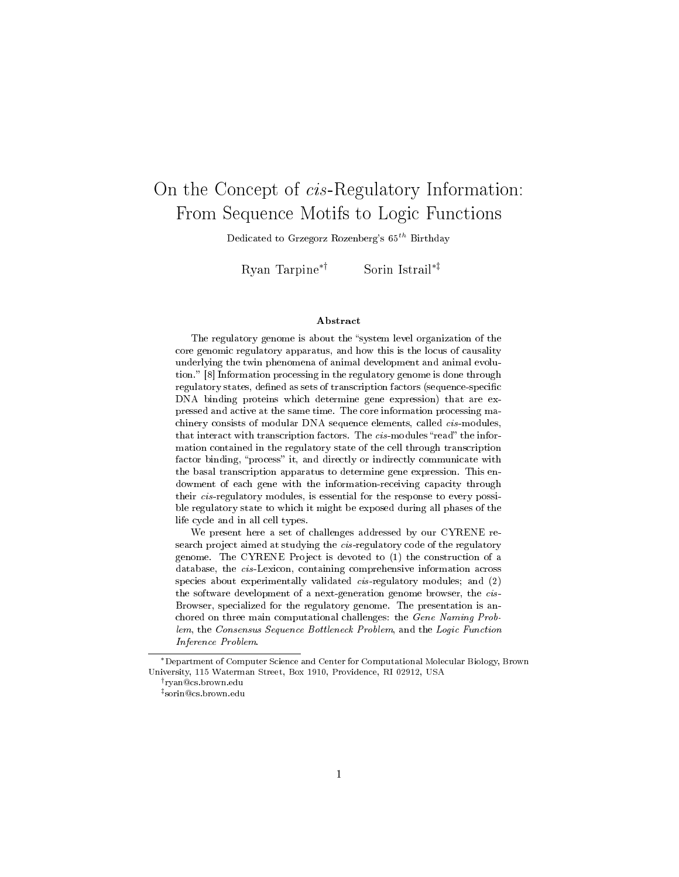# On the Concept of cis-Regulatory Information: From Sequence Motifs to Logic Functions

Dedicated to Grzegorz Rozenberg's  $65<sup>th</sup>$  Birthday

Ryan Tarpine∗† Sorin Istrail∗‡

#### Abstract

The regulatory genome is about the "system level organization of the core genomic regulatory apparatus, and how this is the locus of causality underlying the twin phenomena of animal development and animal evolution." [8] Information processing in the regulatory genome is done through regulatory states, defined as sets of transcription factors (sequence-specific DNA binding proteins which determine gene expression) that are expressed and active at the same time. The core information processing machinery consists of modular DNA sequence elements, called cis-modules, that interact with transcription factors. The *cis*-modules "read" the information contained in the regulatory state of the cell through transcription factor binding, "process" it, and directly or indirectly communicate with the basal transcription apparatus to determine gene expression. This endowment of each gene with the information-receiving capacity through their *cis*-regulatory modules, is essential for the response to every possible regulatory state to which it might be exposed during all phases of the life cycle and in all cell types.

We present here a set of challenges addressed by our CYRENE research project aimed at studying the *cis*-regulatory code of the regulatory genome. The CYRENE Project is devoted to (1) the construction of a database, the *cis*-Lexicon, containing comprehensive information across species about experimentally validated cis-regulatory modules; and (2) the software development of a next-generation genome browser, the *cis*-Browser, specialized for the regulatory genome. The presentation is anchored on three main computational challenges: the Gene Naming Problem, the Consensus Sequence Bottleneck Problem, and the Logic Function Inference Problem.

<sup>∗</sup>Department of Computer Science and Center for Computational Molecular Biology, Brown University, 115 Waterman Street, Box 1910, Providence, RI 02912, USA

<sup>†</sup> ryan@cs.brown.edu

<sup>‡</sup> sorin@cs.brown.edu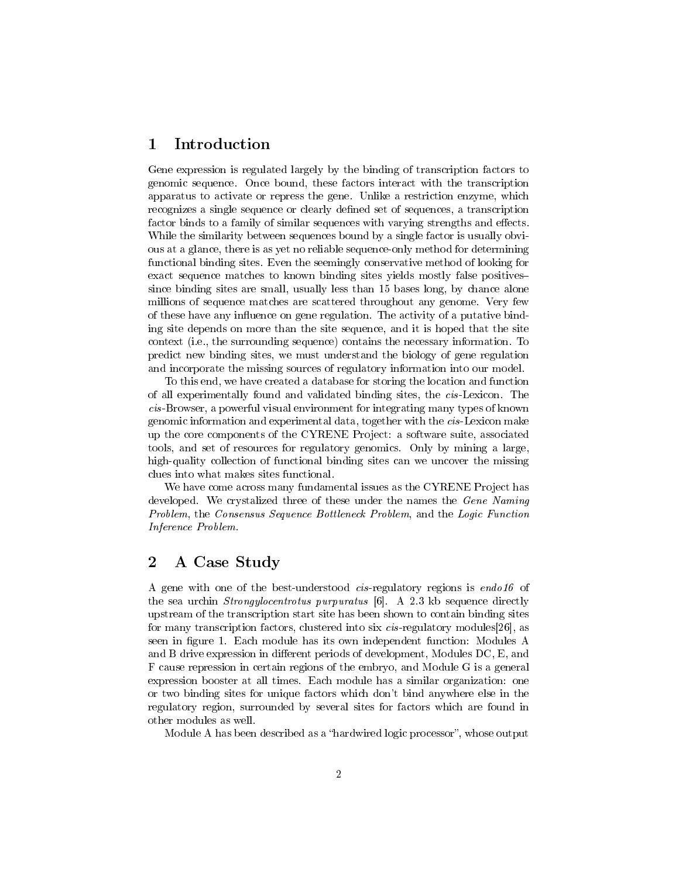## 1 Introduction

Gene expression is regulated largely by the binding of transcription factors to genomic sequence. Once bound, these factors interact with the transcription apparatus to activate or repress the gene. Unlike a restriction enzyme, which recognizes a single sequence or clearly defined set of sequences, a transcription factor binds to a family of similar sequences with varying strengths and effects. While the similarity between sequences bound by a single factor is usually obvious at a glance, there is as yet no reliable sequence-only method for determining functional binding sites. Even the seemingly conservative method of looking for exact sequence matches to known binding sites yields mostly false positives since binding sites are small, usually less than 15 bases long, by chance alone millions of sequence matches are scattered throughout any genome. Very few of these have any influence on gene regulation. The activity of a putative binding site depends on more than the site sequence, and it is hoped that the site context (i.e., the surrounding sequence) contains the necessary information. To predict new binding sites, we must understand the biology of gene regulation and incorporate the missing sources of regulatory information into our model.

To this end, we have created a database for storing the location and function of all experimentally found and validated binding sites, the cis-Lexicon. The cis-Browser, a powerful visual environment for integrating many types of known genomic information and experimental data, together with the cis-Lexicon make up the core components of the CYRENE Project: a software suite, associated tools, and set of resources for regulatory genomics. Only by mining a large, high-quality collection of functional binding sites can we uncover the missing clues into what makes sites functional.

We have come across many fundamental issues as the CYRENE Project has developed. We crystalized three of these under the names the Gene Naming Problem, the Consensus Sequence Bottleneck Problem, and the Logic Function Inference Problem.

## 2 A Case Study

A gene with one of the best-understood cis-regulatory regions is endo16 of the sea urchin Strongylocentrotus purpuratus [6]. A 2.3 kb sequence directly upstream of the transcription start site has been shown to contain binding sites for many transcription factors, clustered into six cis-regulatory modules[26], as seen in figure 1. Each module has its own independent function: Modules A and B drive expression in different periods of development, Modules DC, E, and F cause repression in certain regions of the embryo, and Module G is a general expression booster at all times. Each module has a similar organization: one or two binding sites for unique factors which don't bind anywhere else in the regulatory region, surrounded by several sites for factors which are found in other modules as well.

Module A has been described as a "hardwired logic processor", whose output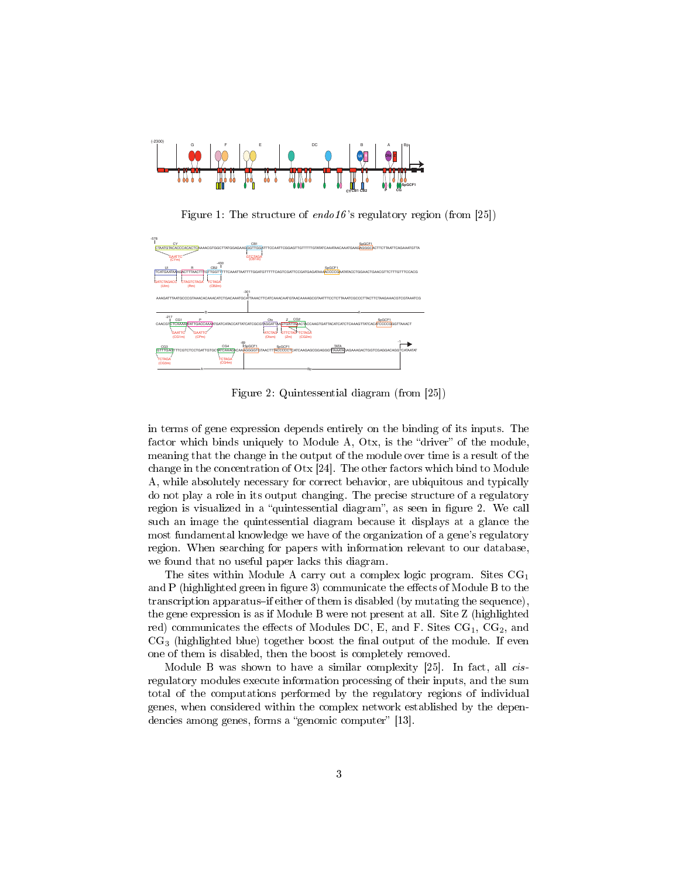

Figure 1: The structure of  $endo16$ 's regulatory region (from [25]) **CYCB1 P CG CB2**



Figure 2: Quintessential diagram (from Figure 2: Quintessential diagram (from [25]) sets of end-labeled probes (high specificity here denotes interactions for which kr !5-10!103, where kr=ks/kn, if ks is the equilibrium constant

in terms of gene expression depends entirely on the binding of its inputs. The factor which binds uniquely to Module A, Otx, is the "driver" of the module, meaning that the change in the output of the module over time is a result of the change in the concentration of Otx [24]. The other factors which bind to Module A, while absolutely necessary for correct behavior, are ubiquitous and typically do not play a role in its output changing. The precise structure of a regulatory region is visualized in a "quintessential diagram", as seen in figure 2. We call such an image the quintessential diagram because it displays at a glance the most fundamental knowledge we have of the organization of a gene's regulatory region. When searching for papers with information relevant to our database, we found that no useful paper lacks this diagram.

The sites within Module A carry out a complex logic program. Sites  $CG<sub>1</sub>$ and  $P$  (highlighted green in figure 3) communicate the effects of Module B to the transcription apparatus-if either of them is disabled (by mutating the sequence), the gene expression is as if Module B were not present at all. Site Z (highlighted red) communicates the effects of Modules DC, E, and F. Sites  $CG_1$ ,  $CG_2$ , and  $CG<sub>3</sub>$  (highlighted blue) together boost the final output of the module. If even one of them is disabled, then the boost is completely removed.

Module B was shown to have a similar complexity [25]. In fact, all cisregulatory modules execute information processing of their inputs, and the sum total of the computations performed by the regulatory regions of individual genes, when considered within the complex network established by the dependencies among genes, forms a "genomic computer" [13].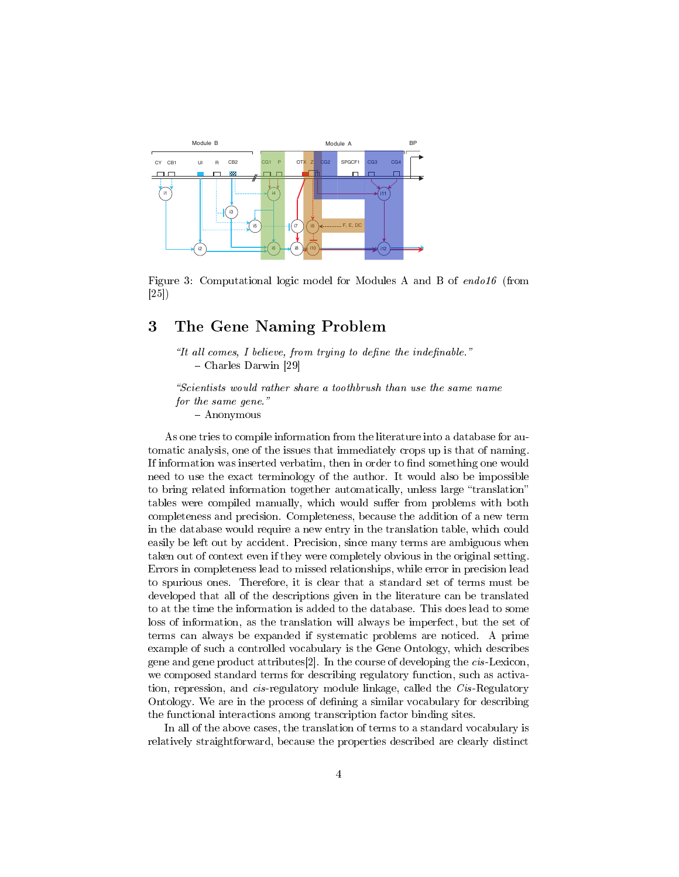

Figure 3: Computational logic model for Modules A and B of endo16 (from [25])

## 3 The Gene Naming Problem

"It all comes, I believe, from trying to define the indefinable." - Charles Darwin [29]

"Scientists would rather share a toothbrush than use the same name for the same gene." John in red. Internet shown in red. Internet circles. In red. Internet circles. Each representations a specifications a specificated by number of the propriety and specificated by numbered circles. Each representations a s  $-$  Anonymous

As one tries to compile information from the literature into a database for automatic analysis, one of the issues that immediately crops up is that of naming. If information was inserted verbatim, then in order to find something one would need to use the exact terminology of the author. It would also be impossible to bring related information together automatically, unless large "translation" tables were compiled manually, which would suffer from problems with both completeness and precision. Completeness, because the addition of a new term in the database would require a new entry in the translation table, which could easily be left out by accident. Precision, since many terms are ambiguous when taken out of context even if they were completely obvious in the original setting. Errors in completeness lead to missed relationships, while error in precision lead to spurious ones. Therefore, it is clear that a standard set of terms must be developed that all of the descriptions given in the literature can be translated to at the time the information is added to the database. This does lead to some loss of information, as the translation will always be imperfect, but the set of terms can always be expanded if systematic problems are noticed. A prime example of such a controlled vocabulary is the Gene Ontology, which describes gene and gene product attributes[2]. In the course of developing the cis-Lexicon, we composed standard terms for describing regulatory function, such as activation, repression, and cis-regulatory module linkage, called the Cis-Regulatory Ontology. We are in the process of dening a similar vocabulary for describing the functional interactions among transcription factor binding sites.

In all of the above cases, the translation of terms to a standard vocabulary is relatively straightforward, because the properties described are clearly distinct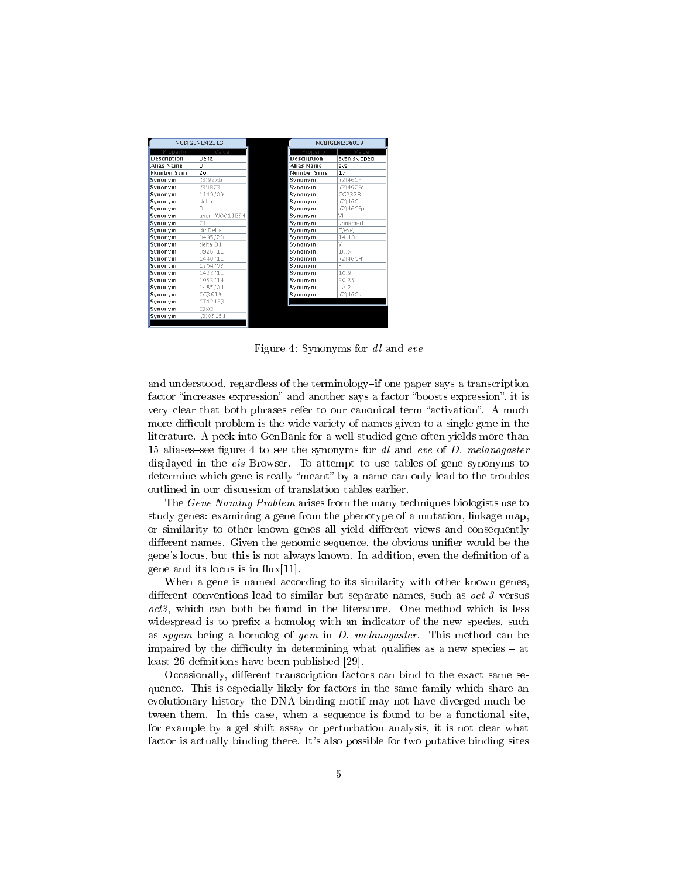| NCBIGENE42313      |               |             | NCBIGENE36039 |  |
|--------------------|---------------|-------------|---------------|--|
| rnnerty            |               |             |               |  |
| <b>Description</b> | Delta         | Description | even skipped  |  |
| Alias Name         | DI            | Alias Name  | eve           |  |
| <b>Number Syns</b> | 20            | Number Syns | 17            |  |
| Synonym            | I(3)92Ab      | Synonym     | I(2)46CFi     |  |
| Synonym            | $(3)$ $ 8C3$  | Synonym     | I(2)46CFq     |  |
| Synonym            | 1119/09       | Synonym     | CG2328        |  |
| Synonym            | delta         | Synonym     | I(2)46Ce      |  |
| Synonym            | D             | Synonym     | I(2)46CFp     |  |
| Synonym            | anon-WO011854 | Synonym     | VI            |  |
| Synonym            | C1            | Synonym     | unnamed       |  |
| Synonym            | dmDelta       | Synonym     | E(eve)        |  |
| Synonym            | 0495/20       | Synonym     | 14.10         |  |
| Synonym            | delta D1      | Synonym     | ٧             |  |
| Synonym            | 0926/11       | Synonym     | 10.5          |  |
| Synonym            | 1440/11       | Synonym     | I(2)46CFh     |  |
| Synonym            | 1304/03       | Synonym     | F             |  |
| Synonym            | 1423/11       | Synonym     | 10.9          |  |
| Synonym            | 1053/14       | Synonym     | 20.35         |  |
| Synonym            | 1485/04       | Synonym     | eve2          |  |
| Synonym            | CG3619        | Synonym     | I(2)46Cq      |  |
| Synonym            | CT12133       |             |               |  |
| Synonym            | E( s)2        |             |               |  |
| Synonym            | 1(3)05151     |             |               |  |

Figure 4: Synonyms for dl and eve

and understood, regardless of the terminology-if one paper says a transcription factor "increases expression" and another says a factor "boosts expression", it is very clear that both phrases refer to our canonical term "activation". A much more difficult problem is the wide variety of names given to a single gene in the literature. A peek into GenBank for a well studied gene often yields more than 15 aliases-see figure 4 to see the synonyms for dl and eve of  $D$ . melanogaster displayed in the cis-Browser. To attempt to use tables of gene synonyms to determine which gene is really "meant" by a name can only lead to the troubles outlined in our discussion of translation tables earlier.

The Gene Naming Problem arises from the many techniques biologists use to study genes: examining a gene from the phenotype of a mutation, linkage map, or similarity to other known genes all yield different views and consequently different names. Given the genomic sequence, the obvious unifier would be the gene's locus, but this is not always known. In addition, even the denition of a gene and its locus is in  $flux[11]$ .

When a gene is named according to its similarity with other known genes, different conventions lead to similar but separate names, such as  $oct-3$  versus  $oct3$ , which can both be found in the literature. One method which is less widespread is to prefix a homolog with an indicator of the new species, such as spgcm being a homolog of gcm in D. melanogaster. This method can be impaired by the difficulty in determining what qualifies as a new species  $-$  at least 26 definitions have been published [29].

Occasionally, different transcription factors can bind to the exact same sequence. This is especially likely for factors in the same family which share an evolutionary history-the DNA binding motif may not have diverged much between them. In this case, when a sequence is found to be a functional site, for example by a gel shift assay or perturbation analysis, it is not clear what factor is actually binding there. It's also possible for two putative binding sites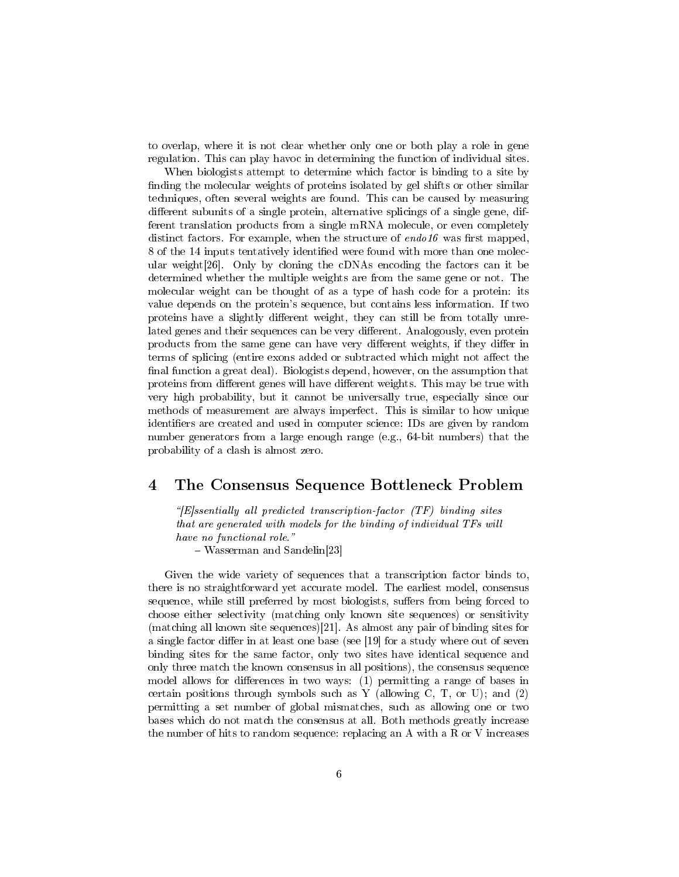to overlap, where it is not clear whether only one or both play a role in gene regulation. This can play havoc in determining the function of individual sites.

When biologists attempt to determine which factor is binding to a site by finding the molecular weights of proteins isolated by gel shifts or other similar techniques, often several weights are found. This can be caused by measuring different subunits of a single protein, alternative splicings of a single gene, different translation products from a single mRNA molecule, or even completely distinct factors. For example, when the structure of  $endo16$  was first mapped, 8 of the 14 inputs tentatively identified were found with more than one molecular weight[26]. Only by cloning the cDNAs encoding the factors can it be determined whether the multiple weights are from the same gene or not. The molecular weight can be thought of as a type of hash code for a protein: its value depends on the protein's sequence, but contains less information. If two proteins have a slightly different weight, they can still be from totally unrelated genes and their sequences can be very different. Analogously, even protein products from the same gene can have very different weights, if they differ in terms of splicing (entire exons added or subtracted which might not affect the final function a great deal). Biologists depend, however, on the assumption that proteins from different genes will have different weights. This may be true with very high probability, but it cannot be universally true, especially since our methods of measurement are always imperfect. This is similar to how unique identifiers are created and used in computer science: IDs are given by random number generators from a large enough range (e.g., 64-bit numbers) that the probability of a clash is almost zero.

### 4 The Consensus Sequence Bottleneck Problem

 $E[$ Ssentially all predicted transcription-factor  $(TF)$  binding sites that are generated with models for the binding of individual TFs will have no functional role."

Wasserman and Sandelin[23]

Given the wide variety of sequences that a transcription factor binds to, there is no straightforward yet accurate model. The earliest model, consensus sequence, while still preferred by most biologists, suffers from being forced to choose either selectivity (matching only known site sequences) or sensitivity (matching all known site sequences)[21]. As almost any pair of binding sites for a single factor differ in at least one base (see [19] for a study where out of seven binding sites for the same factor, only two sites have identical sequence and only three match the known consensus in all positions), the consensus sequence model allows for differences in two ways:  $(1)$  permitting a range of bases in certain positions through symbols such as Y (allowing C, T, or U); and  $(2)$ permitting a set number of global mismatches, such as allowing one or two bases which do not match the consensus at all. Both methods greatly increase the number of hits to random sequence: replacing an A with a R or V increases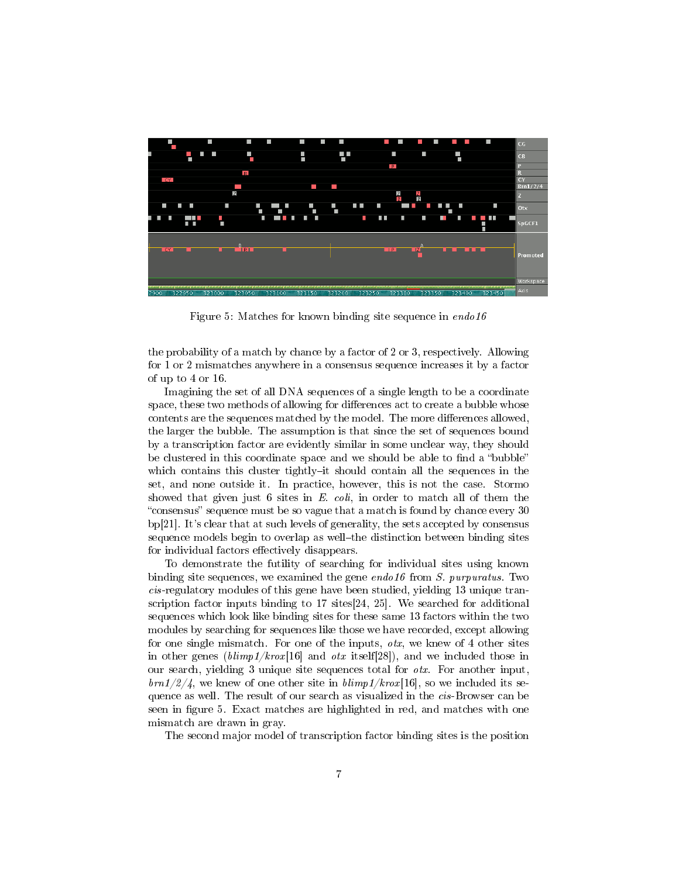

Figure 5: Matches for known binding site sequence in endo16

the probability of a match by chance by a factor of 2 or 3, respectively. Allowing for 1 or 2 mismatches anywhere in a consensus sequence increases it by a factor of up to 4 or 16.

Imagining the set of all DNA sequences of a single length to be a coordinate space, these two methods of allowing for differences act to create a bubble whose contents are the sequences matched by the model. The more differences allowed, the larger the bubble. The assumption is that since the set of sequences bound by a transcription factor are evidently similar in some unclear way, they should be clustered in this coordinate space and we should be able to find a "bubble" which contains this cluster tightly-it should contain all the sequences in the set, and none outside it. In practice, however, this is not the case. Stormo showed that given just  $6$  sites in  $E.$  coli, in order to match all of them the "consensus" sequence must be so vague that a match is found by chance every 30 bp[21]. It's clear that at such levels of generality, the sets accepted by consensus sequence models begin to overlap as well-the distinction between binding sites for individual factors effectively disappears.

To demonstrate the futility of searching for individual sites using known binding site sequences, we examined the gene endo16 from S. purpuratus. Two cis-regulatory modules of this gene have been studied, yielding 13 unique transcription factor inputs binding to 17 sites[24, 25]. We searched for additional sequences which look like binding sites for these same 13 factors within the two modules by searching for sequences like those we have recorded, except allowing for one single mismatch. For one of the inputs,  $otx$ , we knew of 4 other sites in other genes (blimp1/krox [16] and otx itself [28]), and we included those in our search, yielding 3 unique site sequences total for otx. For another input,  $bin1/2/4$ , we knew of one other site in  $blimp1/kroz[16]$ , so we included its sequence as well. The result of our search as visualized in the cis-Browser can be seen in figure 5. Exact matches are highlighted in red, and matches with one mismatch are drawn in gray.

The second major model of transcription factor binding sites is the position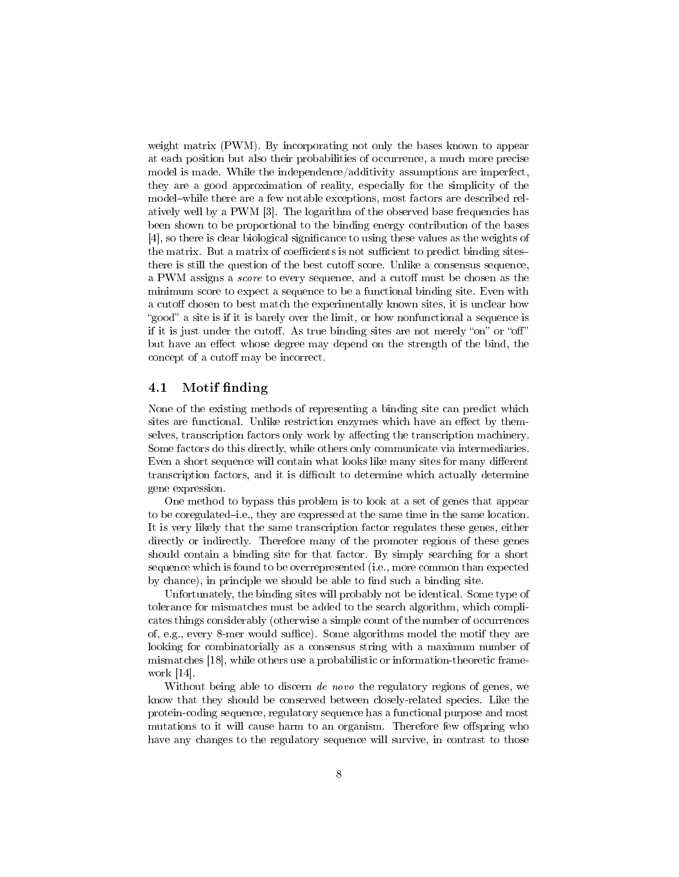weight matrix (PWM). By incorporating not only the bases known to appear at each position but also their probabilities of occurrence, a much more precise model is made. While the independence/additivity assumptions are imperfect, they are a good approximation of reality, especially for the simplicity of the model-while there are a few notable exceptions, most factors are described relatively well by a PWM [3]. The logarithm of the observed base frequencies has been shown to be proportional to the binding energy contribution of the bases [4], so there is clear biological signicance to using these values as the weights of the matrix. But a matrix of coefficients is not sufficient to predict binding sitesthere is still the question of the best cutoff score. Unlike a consensus sequence, a PWM assigns a *score* to every sequence, and a cutoff must be chosen as the minimum score to expect a sequence to be a functional binding site. Even with a cutoff chosen to best match the experimentally known sites, it is unclear how "good" a site is if it is barely over the limit, or how nonfunctional a sequence is if it is just under the cutoff. As true binding sites are not merely "on" or "off" but have an effect whose degree may depend on the strength of the bind, the concept of a cutoff may be incorrect.

#### 4.1 Motif finding

None of the existing methods of representing a binding site can predict which sites are functional. Unlike restriction enzymes which have an effect by themselves, transcription factors only work by affecting the transcription machinery. Some factors do this directly, while others only communicate via intermediaries. Even a short sequence will contain what looks like many sites for many different transcription factors, and it is difficult to determine which actually determine gene expression.

One method to bypass this problem is to look at a set of genes that appear to be coregulated-i.e., they are expressed at the same time in the same location. It is very likely that the same transcription factor regulates these genes, either directly or indirectly. Therefore many of the promoter regions of these genes should contain a binding site for that factor. By simply searching for a short sequence which is found to be overrepresented (i.e., more common than expected by chance), in principle we should be able to find such a binding site.

Unfortunately, the binding sites will probably not be identical. Some type of tolerance for mismatches must be added to the search algorithm, which complicates things considerably (otherwise a simple count of the number of occurrences of, e.g., every 8-mer would suffice). Some algorithms model the motif they are looking for combinatorially as a consensus string with a maximum number of mismatches [18], while others use a probabilistic or information-theoretic framework [14].

Without being able to discern de novo the regulatory regions of genes, we know that they should be conserved between closely-related species. Like the protein-coding sequence, regulatory sequence has a functional purpose and most mutations to it will cause harm to an organism. Therefore few offspring who have any changes to the regulatory sequence will survive, in contrast to those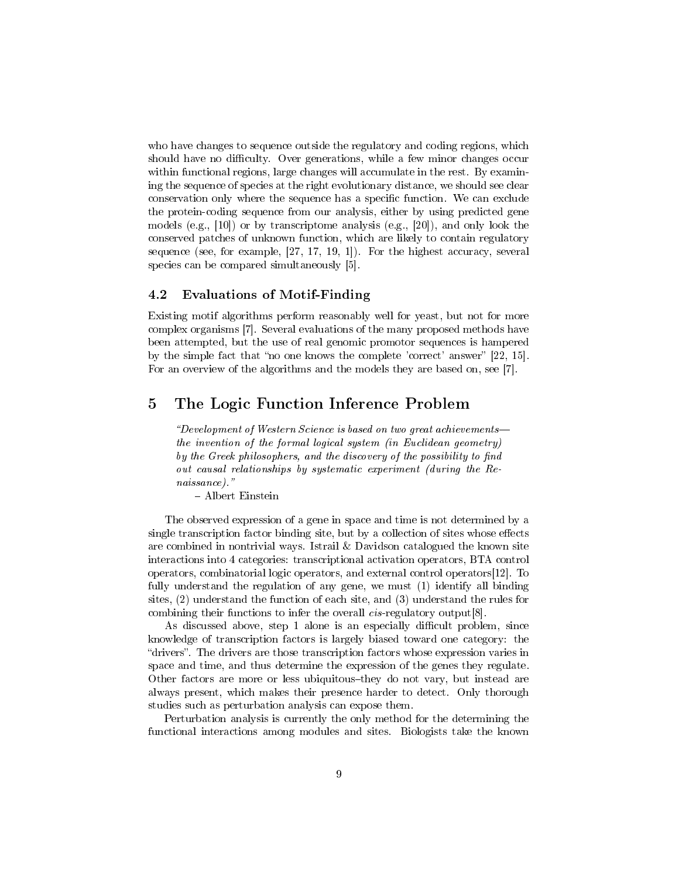who have changes to sequence outside the regulatory and coding regions, which should have no difficulty. Over generations, while a few minor changes occur within functional regions, large changes will accumulate in the rest. By examining the sequence of species at the right evolutionary distance, we should see clear conservation only where the sequence has a specific function. We can exclude the protein-coding sequence from our analysis, either by using predicted gene models (e.g., [10]) or by transcriptome analysis (e.g., [20]), and only look the conserved patches of unknown function, which are likely to contain regulatory sequence (see, for example, [27, 17, 19, 1]). For the highest accuracy, several species can be compared simultaneously [5].

#### 4.2 Evaluations of Motif-Finding

Existing motif algorithms perform reasonably well for yeast, but not for more complex organisms [7]. Several evaluations of the many proposed methods have been attempted, but the use of real genomic promotor sequences is hampered by the simple fact that "no one knows the complete 'correct' answer"  $[22, 15]$ . For an overview of the algorithms and the models they are based on, see [7].

## 5 The Logic Function Inference Problem

Development of Western Science is based on two great achievements the invention of the formal logical system (in Euclidean geometry) by the Greek philosophers, and the discovery of the possibility to find out causal relationships by systematic experiment (during the Renaissance).

Albert Einstein

The observed expression of a gene in space and time is not determined by a single transcription factor binding site, but by a collection of sites whose effects are combined in nontrivial ways. Istrail & Davidson catalogued the known site interactions into 4 categories: transcriptional activation operators, BTA control operators, combinatorial logic operators, and external control operators[12]. To fully understand the regulation of any gene, we must (1) identify all binding sites, (2) understand the function of each site, and (3) understand the rules for combining their functions to infer the overall cis-regulatory output[8].

As discussed above, step 1 alone is an especially difficult problem, since knowledge of transcription factors is largely biased toward one category: the "drivers". The drivers are those transcription factors whose expression varies in space and time, and thus determine the expression of the genes they regulate. Other factors are more or less ubiquitous-they do not vary, but instead are always present, which makes their presence harder to detect. Only thorough studies such as perturbation analysis can expose them.

Perturbation analysis is currently the only method for the determining the functional interactions among modules and sites. Biologists take the known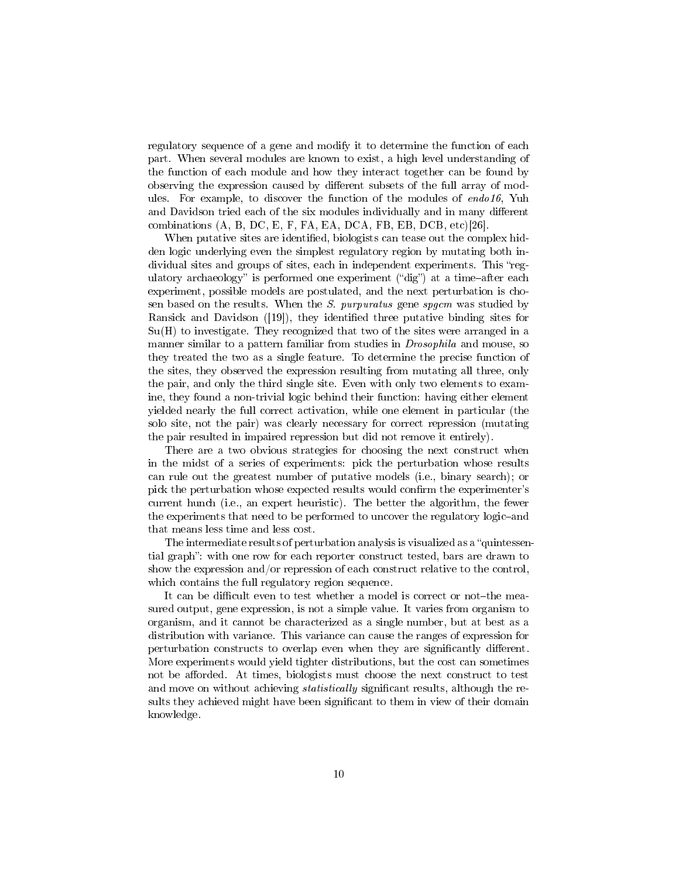regulatory sequence of a gene and modify it to determine the function of each part. When several modules are known to exist, a high level understanding of the function of each module and how they interact together can be found by observing the expression caused by different subsets of the full array of modules. For example, to discover the function of the modules of endo16, Yuh and Davidson tried each of the six modules individually and in many different combinations (A, B, DC, E, F, FA, EA, DCA, FB, EB, DCB, etc)[26].

When putative sites are identified, biologists can tease out the complex hidden logic underlying even the simplest regulatory region by mutating both individual sites and groups of sites, each in independent experiments. This "regulatory archaeology" is performed one experiment ("dig") at a time-after each experiment, possible models are postulated, and the next perturbation is chosen based on the results. When the S. purpuratus gene spgcm was studied by Ransick and Davidson  $(19)$ , they identified three putative binding sites for Su(H) to investigate. They recognized that two of the sites were arranged in a manner similar to a pattern familiar from studies in *Drosophila* and mouse, so they treated the two as a single feature. To determine the precise function of the sites, they observed the expression resulting from mutating all three, only the pair, and only the third single site. Even with only two elements to examine, they found a non-trivial logic behind their function: having either element yielded nearly the full correct activation, while one element in particular (the solo site, not the pair) was clearly necessary for correct repression (mutating the pair resulted in impaired repression but did not remove it entirely).

There are a two obvious strategies for choosing the next construct when in the midst of a series of experiments: pick the perturbation whose results can rule out the greatest number of putative models (i.e., binary search); or pick the perturbation whose expected results would conrm the experimenter's current hunch (i.e., an expert heuristic). The better the algorithm, the fewer the experiments that need to be performed to uncover the regulatory logic-and that means less time and less cost.

The intermediate results of perturbation analysis is visualized as a "quintessential graph: with one row for each reporter construct tested, bars are drawn to show the expression and/or repression of each construct relative to the control, which contains the full regulatory region sequence.

It can be difficult even to test whether a model is correct or not-the measured output, gene expression, is not a simple value. It varies from organism to organism, and it cannot be characterized as a single number, but at best as a distribution with variance. This variance can cause the ranges of expression for perturbation constructs to overlap even when they are significantly different. More experiments would yield tighter distributions, but the cost can sometimes not be afforded. At times, biologists must choose the next construct to test and move on without achieving *statistically* significant results, although the results they achieved might have been significant to them in view of their domain knowledge.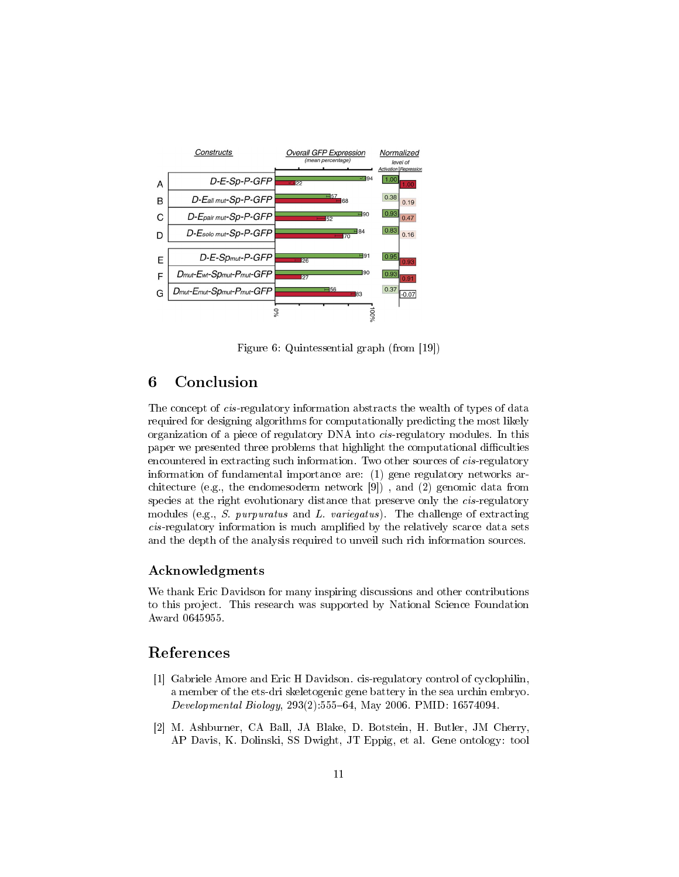

Figure 6: Quintessential graph (from [19])

## 6 Conclusion

The concept of *cis*-regulatory information abstracts the wealth of types of data required for designing algorithms for computationally predicting the most likely organization of a piece of regulatory DNA into cis-regulatory modules. In this paper we presented three problems that highlight the computational difficulties encountered in extracting such information. Two other sources of *cis*-regulatory information of fundamental importance are: (1) gene regulatory networks architecture (e.g., the endomesoderm network [9]) , and (2) genomic data from species at the right evolutionary distance that preserve only the *cis*-regulatory modules (e.g., S. purpuratus and L. variegatus). The challenge of extracting cis-regulatory information is much amplied by the relatively scarce data sets and the depth of the analysis required to unveil such rich information sources.

#### Acknowledgments

We thank Eric Davidson for many inspiring discussions and other contributions to this project. This research was supported by National Science Foundation Award 0645955.

## References

- [1] Gabriele Amore and Eric H Davidson. cis-regulatory control of cyclophilin, a member of the ets-dri skeletogenic gene battery in the sea urchin embryo.  $Develop mental Biology, 293(2): 555–64, May 2006. PMID: 16574094.$
- [2] M. Ashburner, CA Ball, JA Blake, D. Botstein, H. Butler, JM Cherry, AP Davis, K. Dolinski, SS Dwight, JT Eppig, et al. Gene ontology: tool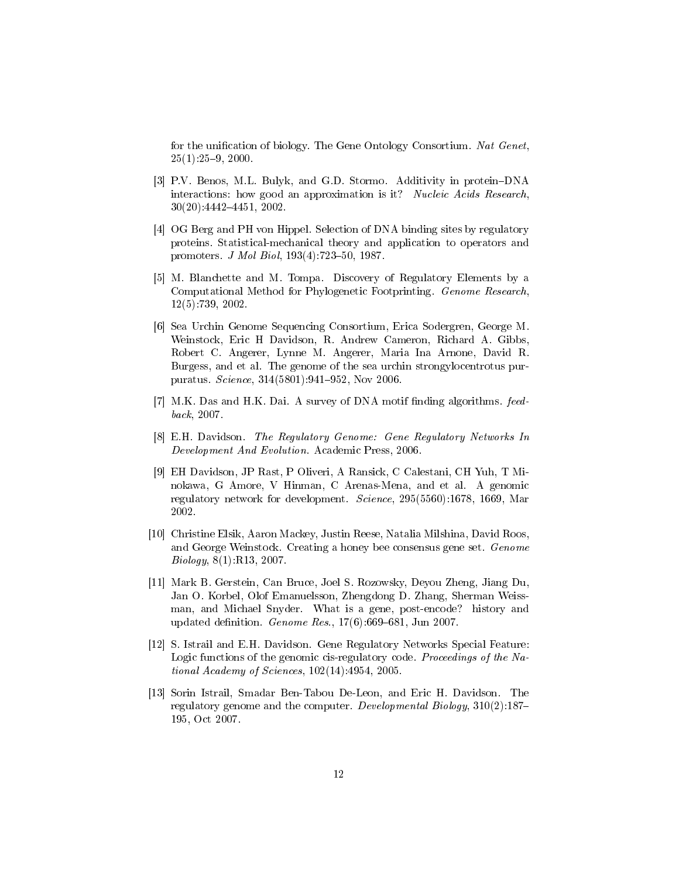for the unification of biology. The Gene Ontology Consortium. Nat Genet,  $25(1)$ :25-9, 2000.

- [3] P.V. Benos, M.L. Bulyk, and G.D. Stormo. Additivity in protein-DNA interactions: how good an approximation is it? Nucleic Acids Research,  $30(20):4442-4451, 2002.$
- [4] OG Berg and PH von Hippel. Selection of DNA binding sites by regulatory proteins. Statistical-mechanical theory and application to operators and promoters. *J Mol Biol*, 193(4):723-50, 1987.
- [5] M. Blanchette and M. Tompa. Discovery of Regulatory Elements by a Computational Method for Phylogenetic Footprinting. Genome Research, 12(5):739, 2002.
- [6] Sea Urchin Genome Sequencing Consortium, Erica Sodergren, George M. Weinstock, Eric H Davidson, R. Andrew Cameron, Richard A. Gibbs, Robert C. Angerer, Lynne M. Angerer, Maria Ina Arnone, David R. Burgess, and et al. The genome of the sea urchin strongylocentrotus purpuratus. *Science*, 314(5801):941-952, Nov 2006.
- [7] M.K. Das and H.K. Dai. A survey of DNA motif finding algorithms. feedback, 2007.
- [8] E.H. Davidson. The Regulatory Genome: Gene Regulatory Networks In Development And Evolution. Academic Press, 2006.
- [9] EH Davidson, JP Rast, P Oliveri, A Ransick, C Calestani, CH Yuh, T Minokawa, G Amore, V Hinman, C Arenas-Mena, and et al. A genomic regulatory network for development. Science, 295(5560):1678, 1669, Mar 2002.
- [10] Christine Elsik, Aaron Mackey, Justin Reese, Natalia Milshina, David Roos, and George Weinstock. Creating a honey bee consensus gene set. Genome  $Biology, 8(1)$ :R13, 2007.
- [11] Mark B. Gerstein, Can Bruce, Joel S. Rozowsky, Deyou Zheng, Jiang Du, Jan O. Korbel, Olof Emanuelsson, Zhengdong D. Zhang, Sherman Weissman, and Michael Snyder. What is a gene, post-encode? history and updated definition. Genome Res.,  $17(6)$ :669-681, Jun 2007.
- [12] S. Istrail and E.H. Davidson. Gene Regulatory Networks Special Feature: Logic functions of the genomic cis-regulatory code. Proceedings of the National Academy of Sciences, 102(14):4954, 2005.
- [13] Sorin Istrail, Smadar Ben-Tabou De-Leon, and Eric H. Davidson. The regulatory genome and the computer. Developmental Biology, 310(2):187 195, Oct 2007.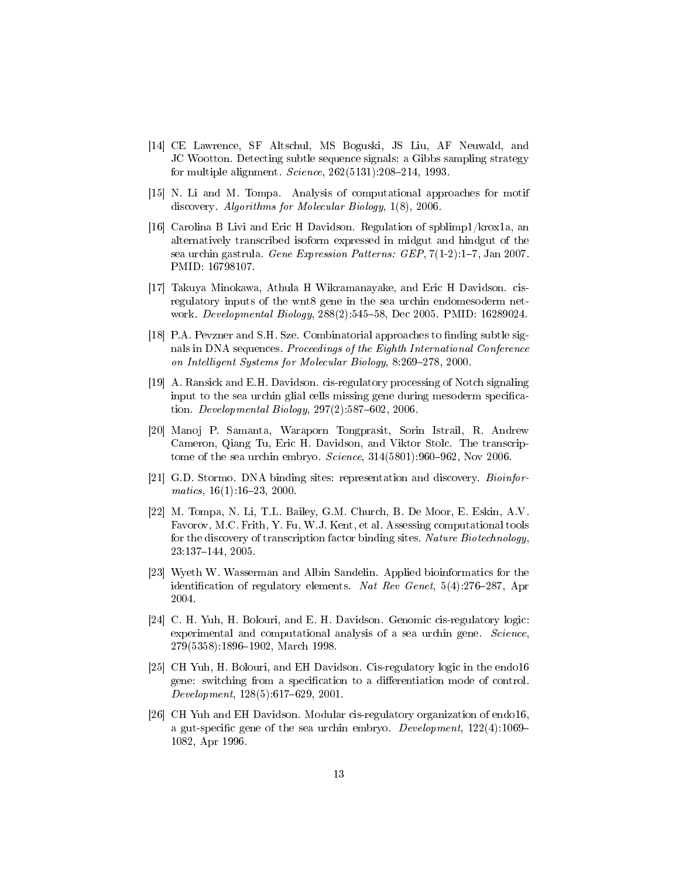- [14] CE Lawrence, SF Altschul, MS Boguski, JS Liu, AF Neuwald, and JC Wootton. Detecting subtle sequence signals: a Gibbs sampling strategy for multiple alignment. *Science*,  $262(5131):208-214$ , 1993.
- [15] N. Li and M. Tompa. Analysis of computational approaches for motif discovery. Algorithms for Molecular Biology, 1(8), 2006.
- [16] Carolina B Livi and Eric H Davidson. Regulation of spblimp1/krox1a, an alternatively transcribed isoform expressed in midgut and hindgut of the sea urchin gastrula. Gene Expression Patterns: GEP,  $7(1-2):1-7$ , Jan 2007. PMID: 16798107.
- [17] Takuya Minokawa, Athula H Wikramanayake, and Eric H Davidson. cisregulatory inputs of the wnt8 gene in the sea urchin endomesoderm network. *Developmental Biology*, 288(2):545-58, Dec 2005. PMID: 16289024.
- [18] P.A. Pevzner and S.H. Sze. Combinatorial approaches to finding subtle signals in DNA sequences. Proceedings of the Eighth International Conference on Intelligent Systems for Molecular Biology, 8:269–278, 2000.
- [19] A. Ransick and E.H. Davidson. cis-regulatory processing of Notch signaling input to the sea urchin glial cells missing gene during mesoderm specification. Developmental Biology,  $297(2)$ :587-602, 2006.
- [20] Manoj P. Samanta, Waraporn Tongprasit, Sorin Istrail, R. Andrew Cameron, Qiang Tu, Eric H. Davidson, and Viktor Stolc. The transcriptome of the sea urchin embryo. Science,  $314(5801):960-962$ , Nov 2006.
- [21] G.D. Stormo. DNA binding sites: representation and discovery. Bioinfor $matics, 16(1):16–23, 2000.$
- [22] M. Tompa, N. Li, T.L. Bailey, G.M. Church, B. De Moor, E. Eskin, A.V. Favorov, M.C. Frith, Y. Fu, W.J. Kent, et al. Assessing computational tools for the discovery of transcription factor binding sites. Nature Biotechnology, 23:137144, 2005.
- [23] Wyeth W. Wasserman and Albin Sandelin. Applied bioinformatics for the identification of regulatory elements. Nat Rev Genet,  $5(4):276-287$ , Apr 2004.
- [24] C. H. Yuh, H. Bolouri, and E. H. Davidson. Genomic cis-regulatory logic: experimental and computational analysis of a sea urchin gene. Science, 279(5358):1896–1902, March 1998.
- [25] CH Yuh, H. Bolouri, and EH Davidson. Cis-regulatory logic in the endo16 gene: switching from a specification to a differentiation mode of control.  $Development, 128(5): 617-629, 2001.$
- [26] CH Yuh and EH Davidson. Modular cis-regulatory organization of endo16, a gut-specific gene of the sea urchin embryo. Development,  $122(4):1069-$ 1082, Apr 1996.